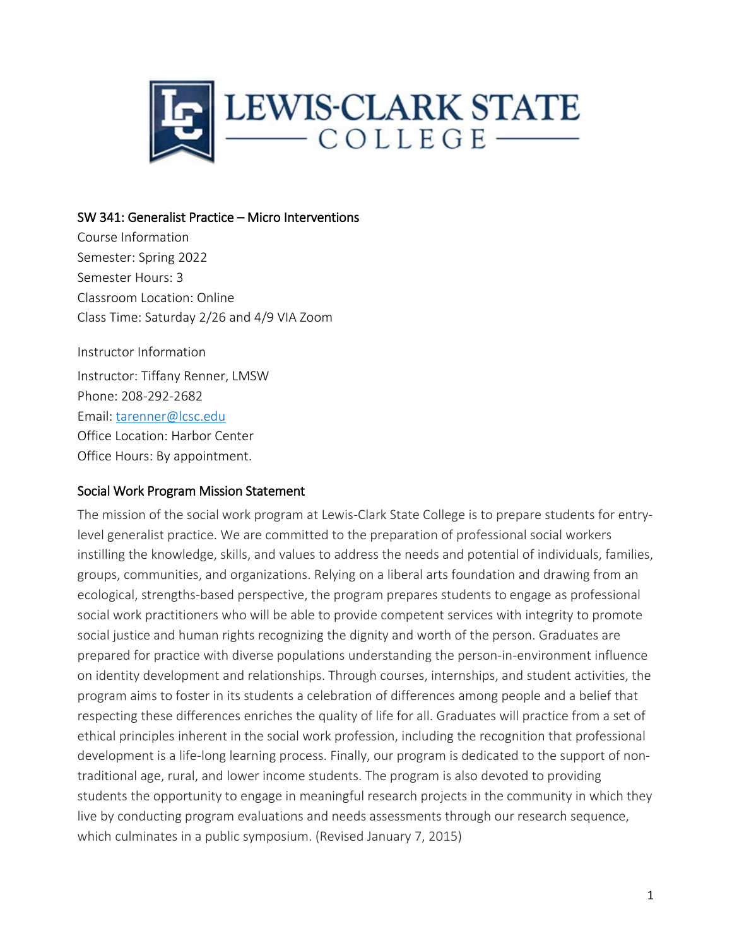

#### SW 341: Generalist Practice – Micro Interventions

Course Information Semester: Spring 2022 Semester Hours: 3 Classroom Location: Online Class Time: Saturday 2/26 and 4/9 VIA Zoom

Instructor Information Instructor: Tiffany Renner, LMSW Phone: 208-292-2682 Email: [tarenner@lcsc.edu](mailto:tarenner@lcsc.edu) Office Location: Harbor Center Office Hours: By appointment.

#### Social Work Program Mission Statement

The mission of the social work program at Lewis-Clark State College is to prepare students for entrylevel generalist practice. We are committed to the preparation of professional social workers instilling the knowledge, skills, and values to address the needs and potential of individuals, families, groups, communities, and organizations. Relying on a liberal arts foundation and drawing from an ecological, strengths-based perspective, the program prepares students to engage as professional social work practitioners who will be able to provide competent services with integrity to promote social justice and human rights recognizing the dignity and worth of the person. Graduates are prepared for practice with diverse populations understanding the person-in-environment influence on identity development and relationships. Through courses, internships, and student activities, the program aims to foster in its students a celebration of differences among people and a belief that respecting these differences enriches the quality of life for all. Graduates will practice from a set of ethical principles inherent in the social work profession, including the recognition that professional development is a life-long learning process. Finally, our program is dedicated to the support of nontraditional age, rural, and lower income students. The program is also devoted to providing students the opportunity to engage in meaningful research projects in the community in which they live by conducting program evaluations and needs assessments through our research sequence, which culminates in a public symposium. (Revised January 7, 2015)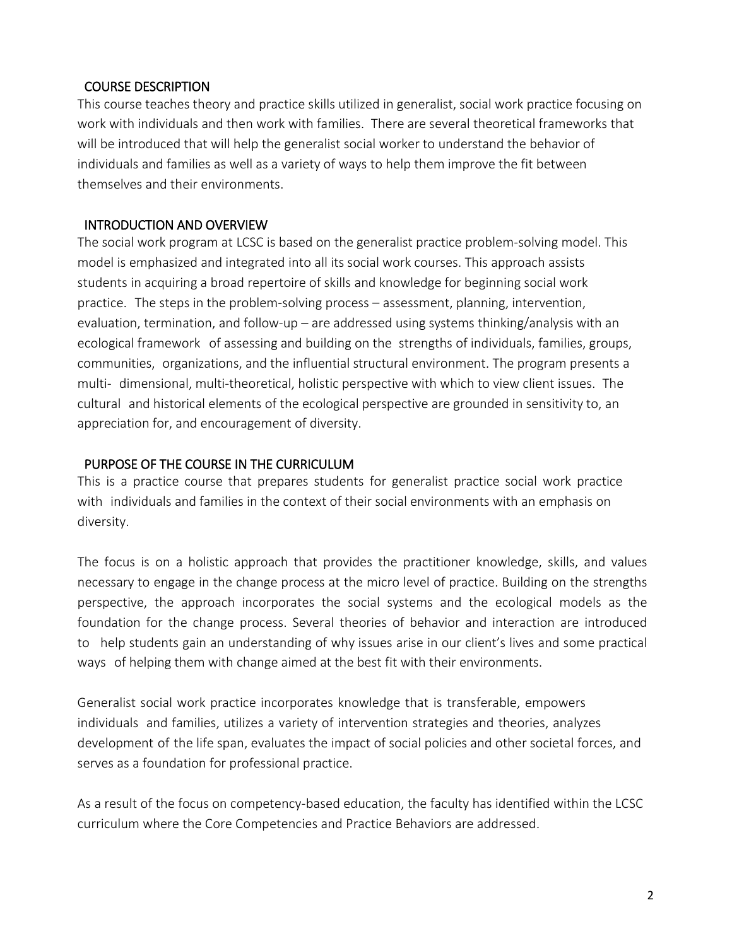### COURSE DESCRIPTION

This course teaches theory and practice skills utilized in generalist, social work practice focusing on work with individuals and then work with families. There are several theoretical frameworks that will be introduced that will help the generalist social worker to understand the behavior of individuals and families as well as a variety of ways to help them improve the fit between themselves and their environments.

## INTRODUCTION AND OVERVIEW

The social work program at LCSC is based on the generalist practice problem-solving model. This model is emphasized and integrated into all its social work courses. This approach assists students in acquiring a broad repertoire of skills and knowledge for beginning social work practice. The steps in the problem-solving process – assessment, planning, intervention, evaluation, termination, and follow-up – are addressed using systems thinking/analysis with an ecological framework of assessing and building on the strengths of individuals, families, groups, communities, organizations, and the influential structural environment. The program presents a multi- dimensional, multi-theoretical, holistic perspective with which to view client issues. The cultural and historical elements of the ecological perspective are grounded in sensitivity to, an appreciation for, and encouragement of diversity.

### PURPOSE OF THE COURSE IN THE CURRICULUM

This is a practice course that prepares students for generalist practice social work practice with individuals and families in the context of their social environments with an emphasis on diversity.

The focus is on a holistic approach that provides the practitioner knowledge, skills, and values necessary to engage in the change process at the micro level of practice. Building on the strengths perspective, the approach incorporates the social systems and the ecological models as the foundation for the change process. Several theories of behavior and interaction are introduced to help students gain an understanding of why issues arise in our client's lives and some practical ways of helping them with change aimed at the best fit with their environments.

Generalist social work practice incorporates knowledge that is transferable, empowers individuals and families, utilizes a variety of intervention strategies and theories, analyzes development of the life span, evaluates the impact of social policies and other societal forces, and serves as a foundation for professional practice.

As a result of the focus on competency-based education, the faculty has identified within the LCSC curriculum where the Core Competencies and Practice Behaviors are addressed.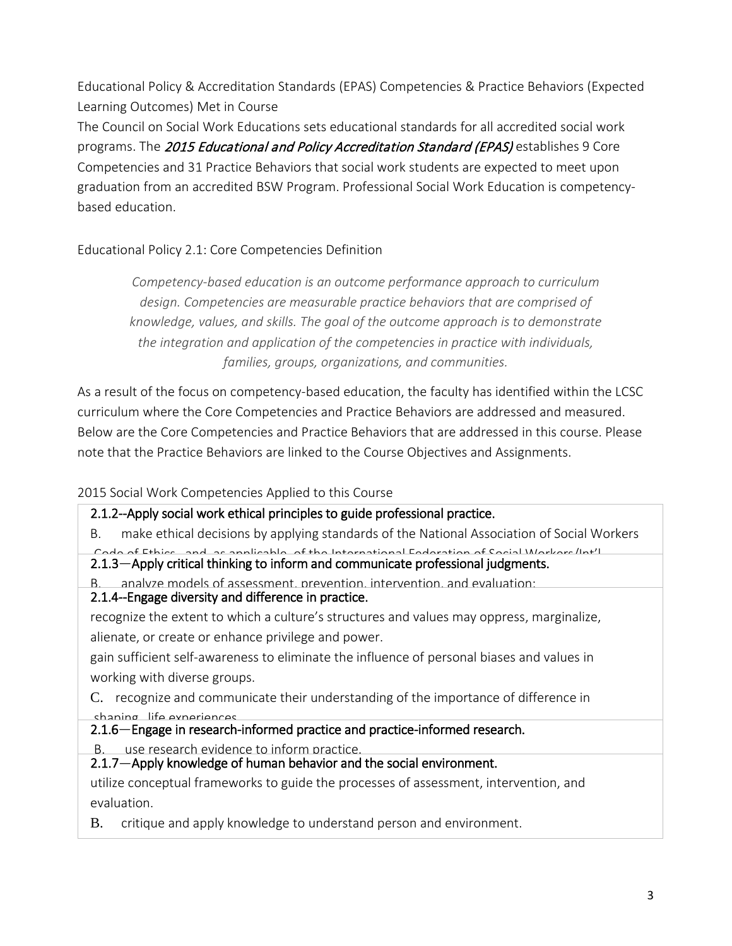Educational Policy & Accreditation Standards (EPAS) Competencies & Practice Behaviors (Expected Learning Outcomes) Met in Course

The Council on Social Work Educations sets educational standards for all accredited social work programs. The 2015 Educational and Policy Accreditation Standard (EPAS) establishes 9 Core Competencies and 31 Practice Behaviors that social work students are expected to meet upon graduation from an accredited BSW Program. Professional Social Work Education is competencybased education.

# Educational Policy 2.1: Core Competencies Definition

*Competency-based education is an outcome performance approach to curriculum design. Competencies are measurable practice behaviors that are comprised of knowledge, values, and skills. The goal of the outcome approach is to demonstrate the integration and application of the competencies in practice with individuals, families, groups, organizations, and communities.*

As a result of the focus on competency-based education, the faculty has identified within the LCSC curriculum where the Core Competencies and Practice Behaviors are addressed and measured. Below are the Core Competencies and Practice Behaviors that are addressed in this course. Please note that the Practice Behaviors are linked to the Course Objectives and Assignments.

### 2015 Social Work Competencies Applied to this Course

2.1.2--Apply social work ethical principles to guide professional practice. B. make ethical decisions by applying standards of the National Association of Social Workers Code of Ethics and as applicable of the International Federation of Social Workers/Int'l 2.1.3—Apply critical thinking to inform and communicate professional judgments. B. analyze models of assessment, prevention, intervention, and evaluation; 2.1.4--Engage diversity and difference in practice. recognize the extent to which a culture's structures and values may oppress, marginalize, alienate, or create or enhance privilege and power. gain sufficient self-awareness to eliminate the influence of personal biases and values in working with diverse groups. C. recognize and communicate their understanding of the importance of difference in shaping life experiences 2.1.6—Engage in research-informed practice and practice-informed research. B. use research evidence to inform practice. 2.1.7—Apply knowledge of human behavior and the social environment. . utilize conceptual frameworks to guide the processes of assessment, intervention, and evaluation.

B. critique and apply knowledge to understand person and environment.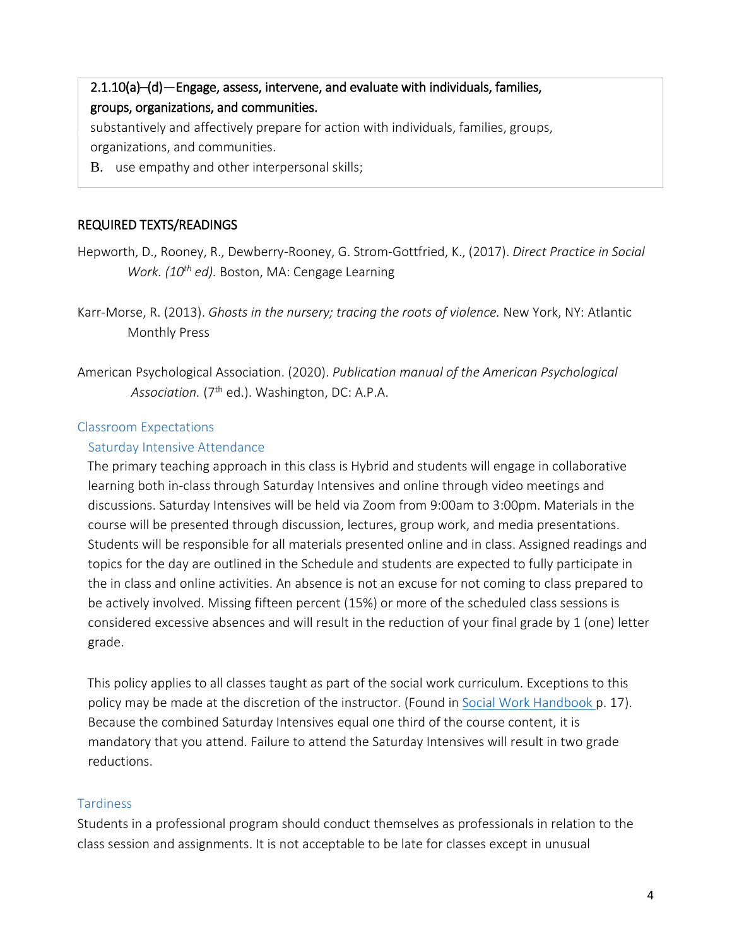# 2.1.10(a)–(d)—Engage, assess, intervene, and evaluate with individuals, families, groups, organizations, and communities.

. substantively and affectively prepare for action with individuals, families, groups, organizations, and communities.

B. use empathy and other interpersonal skills;

# REQUIRED TEXTS/READINGS

- Hepworth, D., Rooney, R., Dewberry-Rooney, G. Strom-Gottfried, K., (2017). *Direct Practice in Social Work. (10th ed).* Boston, MA: Cengage Learning
- Karr-Morse, R. (2013). *Ghosts in the nursery; tracing the roots of violence.* New York, NY: Atlantic Monthly Press
- American Psychological Association. (2020). *Publication manual of the American Psychological*  Association. (7<sup>th</sup> ed.). Washington, DC: A.P.A.

# Classroom Expectations

# Saturday Intensive Attendance

The primary teaching approach in this class is Hybrid and students will engage in collaborative learning both in-class through Saturday Intensives and online through video meetings and discussions. Saturday Intensives will be held via Zoom from 9:00am to 3:00pm. Materials in the course will be presented through discussion, lectures, group work, and media presentations. Students will be responsible for all materials presented online and in class. Assigned readings and topics for the day are outlined in the Schedule and students are expected to fully participate in the in class and online activities. An absence is not an excuse for not coming to class prepared to be actively involved. Missing fifteen percent (15%) or more of the scheduled class sessions is considered excessive absences and will result in the reduction of your final grade by 1 (one) letter grade.

This policy applies to all classes taught as part of the social work curriculum. Exceptions to this policy may be made at the discretion of the instructor. (Found in Social Work Handbook p. 17). Because the combined Saturday Intensives equal one third of the course content, it is mandatory that you attend. Failure to attend the Saturday Intensives will result in two grade reductions.

# **Tardiness**

Students in a professional program should conduct themselves as professionals in relation to the class session and assignments. It is not acceptable to be late for classes except in unusual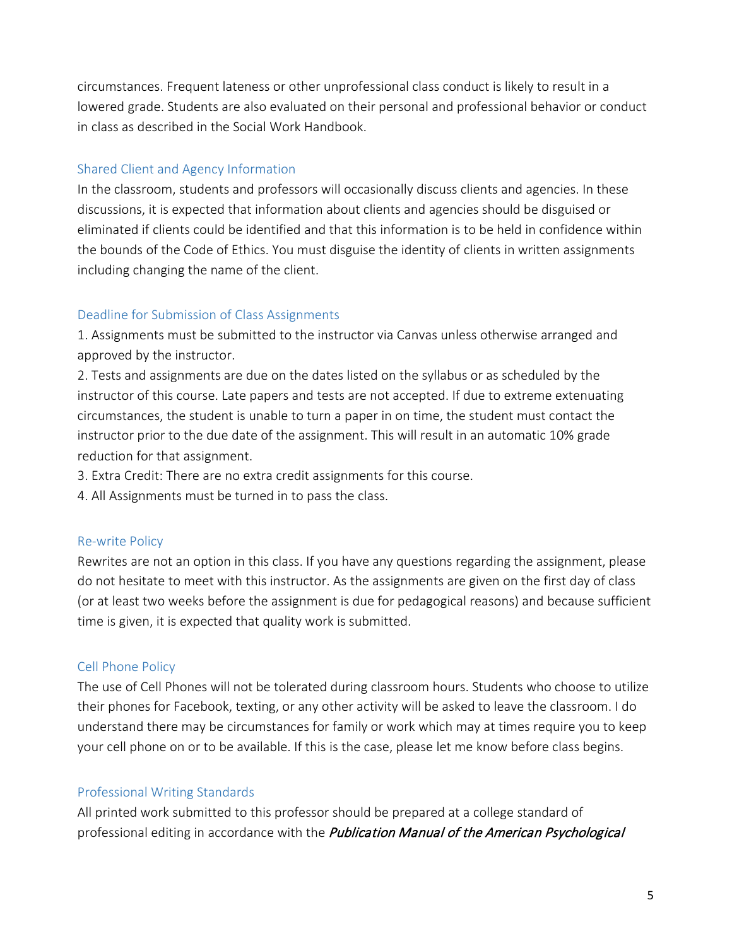circumstances. Frequent lateness or other unprofessional class conduct is likely to result in a lowered grade. Students are also evaluated on their personal and professional behavior or conduct in class as described in the Social Work Handbook.

## Shared Client and Agency Information

In the classroom, students and professors will occasionally discuss clients and agencies. In these discussions, it is expected that information about clients and agencies should be disguised or eliminated if clients could be identified and that this information is to be held in confidence within the bounds of the Code of Ethics. You must disguise the identity of clients in written assignments including changing the name of the client.

### Deadline for Submission of Class Assignments

1. Assignments must be submitted to the instructor via Canvas unless otherwise arranged and approved by the instructor.

2. Tests and assignments are due on the dates listed on the syllabus or as scheduled by the instructor of this course. Late papers and tests are not accepted. If due to extreme extenuating circumstances, the student is unable to turn a paper in on time, the student must contact the instructor prior to the due date of the assignment. This will result in an automatic 10% grade reduction for that assignment.

3. Extra Credit: There are no extra credit assignments for this course.

4. All Assignments must be turned in to pass the class.

### Re-write Policy

Rewrites are not an option in this class. If you have any questions regarding the assignment, please do not hesitate to meet with this instructor. As the assignments are given on the first day of class (or at least two weeks before the assignment is due for pedagogical reasons) and because sufficient time is given, it is expected that quality work is submitted.

# Cell Phone Policy

The use of Cell Phones will not be tolerated during classroom hours. Students who choose to utilize their phones for Facebook, texting, or any other activity will be asked to leave the classroom. I do understand there may be circumstances for family or work which may at times require you to keep your cell phone on or to be available. If this is the case, please let me know before class begins.

# Professional Writing Standards

All printed work submitted to this professor should be prepared at a college standard of professional editing in accordance with the *Publication Manual of the American Psychological*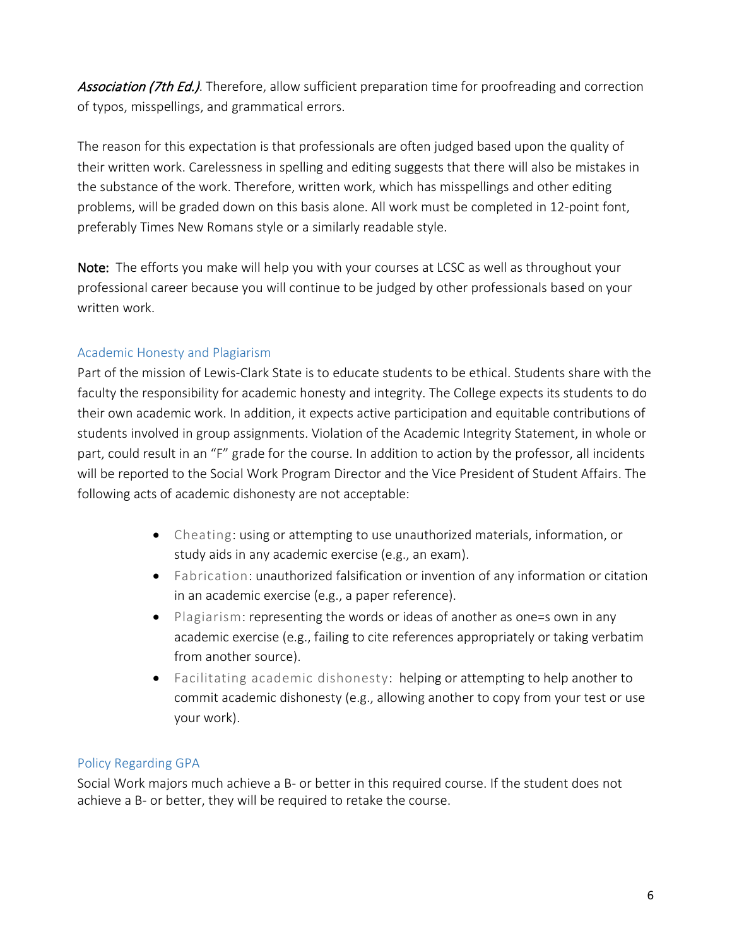Association (7th Ed.). Therefore, allow sufficient preparation time for proofreading and correction of typos, misspellings, and grammatical errors.

The reason for this expectation is that professionals are often judged based upon the quality of their written work. Carelessness in spelling and editing suggests that there will also be mistakes in the substance of the work. Therefore, written work, which has misspellings and other editing problems, will be graded down on this basis alone. All work must be completed in 12-point font, preferably Times New Romans style or a similarly readable style.

Note: The efforts you make will help you with your courses at LCSC as well as throughout your professional career because you will continue to be judged by other professionals based on your written work.

### Academic Honesty and Plagiarism

Part of the mission of Lewis-Clark State is to educate students to be ethical. Students share with the faculty the responsibility for academic honesty and integrity. The College expects its students to do their own academic work. In addition, it expects active participation and equitable contributions of students involved in group assignments. Violation of the Academic Integrity Statement, in whole or part, could result in an "F" grade for the course. In addition to action by the professor, all incidents will be reported to the Social Work Program Director and the Vice President of Student Affairs. The following acts of academic dishonesty are not acceptable:

- Cheating: using or attempting to use unauthorized materials, information, or study aids in any academic exercise (e.g., an exam).
- Fabrication: unauthorized falsification or invention of any information or citation in an academic exercise (e.g., a paper reference).
- Plagiarism: representing the words or ideas of another as one=s own in any academic exercise (e.g., failing to cite references appropriately or taking verbatim from another source).
- Facilitating academic dishonesty: helping or attempting to help another to commit academic dishonesty (e.g., allowing another to copy from your test or use your work).

### Policy Regarding GPA

Social Work majors much achieve a B- or better in this required course. If the student does not achieve a B- or better, they will be required to retake the course.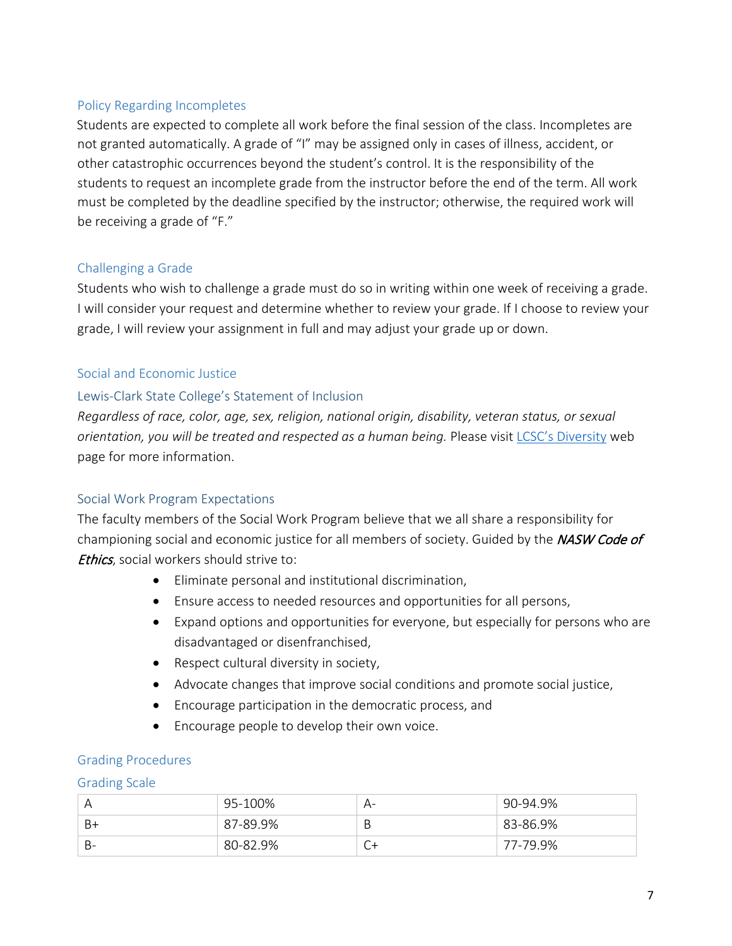### Policy Regarding Incompletes

Students are expected to complete all work before the final session of the class. Incompletes are not granted automatically. A grade of "I" may be assigned only in cases of illness, accident, or other catastrophic occurrences beyond the student's control. It is the responsibility of the students to request an incomplete grade from the instructor before the end of the term. All work must be completed by the deadline specified by the instructor; otherwise, the required work will be receiving a grade of "F."

#### Challenging a Grade

Students who wish to challenge a grade must do so in writing within one week of receiving a grade. I will consider your request and determine whether to review your grade. If I choose to review your grade, I will review your assignment in full and may adjust your grade up or down.

#### Social and Economic Justice

#### Lewis-Clark State College's Statement of Inclusion

*Regardless of race, color, age, sex, religion, national origin, disability, veteran status, or sexual orientation, you will be treated and respected as a human being.* Please visit [LCSC's Diversity](http://www.lcsc.edu/diversity/) web page for more information.

### Social Work Program Expectations

The faculty members of the Social Work Program believe that we all share a responsibility for championing social and economic justice for all members of society. Guided by the *NASW Code of* **Ethics**, social workers should strive to:

- Eliminate personal and institutional discrimination,
- Ensure access to needed resources and opportunities for all persons,
- Expand options and opportunities for everyone, but especially for persons who are disadvantaged or disenfranchised,
- Respect cultural diversity in society,
- Advocate changes that improve social conditions and promote social justice,
- Encourage participation in the democratic process, and
- Encourage people to develop their own voice.

#### Grading Procedures

#### Grading Scale

|    | 95-100%  | $A-$ | 90-94.9%      |
|----|----------|------|---------------|
| B+ | 87-89.9% | B    | $83 - 86.9\%$ |
| B- | 80-82.9% | ∪+   | 77-79.9%      |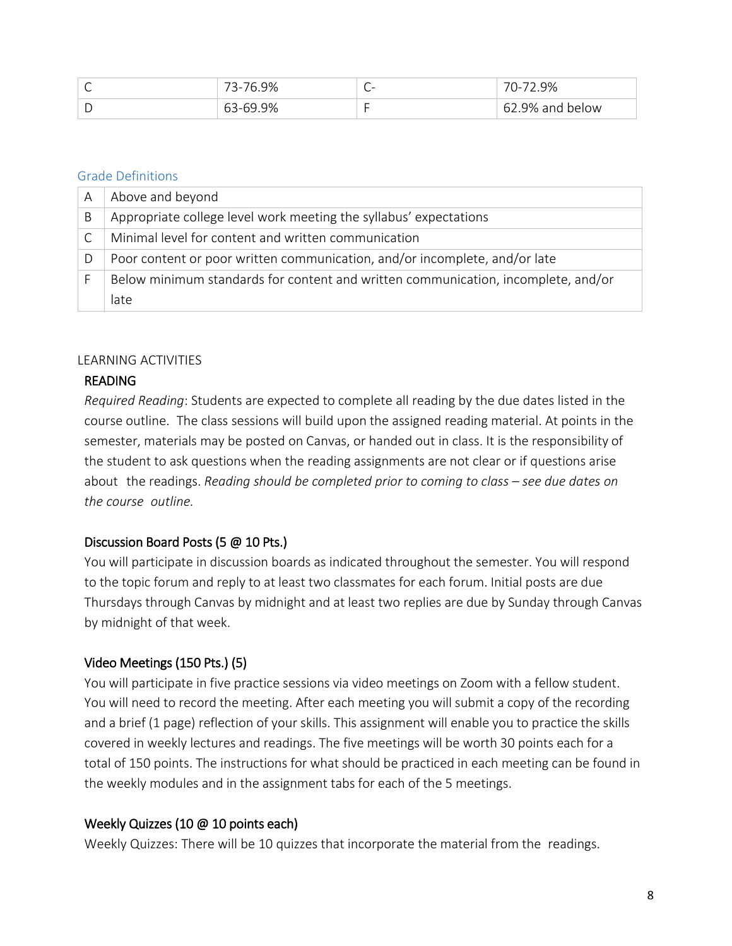| $\check{ }$ | 6.9%<br>$3 - 76$ | ∽<br>-<br>$\check{ }$ | 2.9%<br>-רו        |
|-------------|------------------|-----------------------|--------------------|
| ້           | 9%،<br>63-69     |                       | 62<br>9% and below |

#### Grade Definitions

| Α | Above and beyond                                                                  |
|---|-----------------------------------------------------------------------------------|
| B | Appropriate college level work meeting the syllabus' expectations                 |
|   | Minimal level for content and written communication                               |
| D | Poor content or poor written communication, and/or incomplete, and/or late        |
|   | Below minimum standards for content and written communication, incomplete, and/or |
|   | late                                                                              |

#### LEARNING ACTIVITIES

### READING

*Required Reading*: Students are expected to complete all reading by the due dates listed in the course outline. The class sessions will build upon the assigned reading material. At points in the semester, materials may be posted on Canvas, or handed out in class. It is the responsibility of the student to ask questions when the reading assignments are not clear or if questions arise about the readings. *Reading should be completed prior to coming to class – see due dates on the course outline.*

### Discussion Board Posts (5 @ 10 Pts.)

You will participate in discussion boards as indicated throughout the semester. You will respond to the topic forum and reply to at least two classmates for each forum. Initial posts are due Thursdays through Canvas by midnight and at least two replies are due by Sunday through Canvas by midnight of that week.

# Video Meetings (150 Pts.) (5)

You will participate in five practice sessions via video meetings on Zoom with a fellow student. You will need to record the meeting. After each meeting you will submit a copy of the recording and a brief (1 page) reflection of your skills. This assignment will enable you to practice the skills covered in weekly lectures and readings. The five meetings will be worth 30 points each for a total of 150 points. The instructions for what should be practiced in each meeting can be found in the weekly modules and in the assignment tabs for each of the 5 meetings.

### Weekly Quizzes (10 @ 10 points each)

Weekly Quizzes: There will be 10 quizzes that incorporate the material from the readings.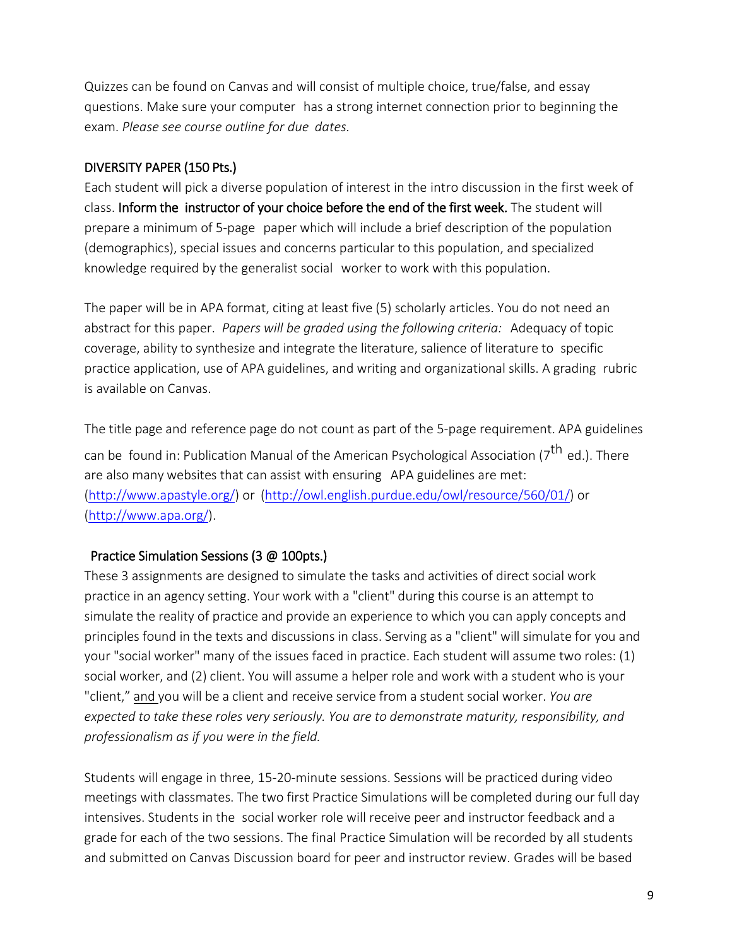Quizzes can be found on Canvas and will consist of multiple choice, true/false, and essay questions. Make sure your computer has a strong internet connection prior to beginning the exam. *Please see course outline for due dates.*

### DIVERSITY PAPER (150 Pts.)

Each student will pick a diverse population of interest in the intro discussion in the first week of class. Inform the instructor of your choice before the end of the first week. The student will prepare a minimum of 5-page paper which will include a brief description of the population (demographics), special issues and concerns particular to this population, and specialized knowledge required by the generalist social worker to work with this population.

The paper will be in APA format, citing at least five (5) scholarly articles. You do not need an abstract for this paper. *Papers will be graded using the following criteria:* Adequacy of topic coverage, ability to synthesize and integrate the literature, salience of literature to specific practice application, use of APA guidelines, and writing and organizational skills. A grading rubric is available on Canvas.

The title page and reference page do not count as part of the 5-page requirement. APA guidelines can be found in: Publication Manual of the American Psychological Association (7<sup>th</sup> ed.). There are also many websites that can assist with ensuring APA guidelines are met: [\(http://www.apastyle.org/\)](http://www.apastyle.org/) or [\(http://owl.english.purdue.edu/owl/resource/560/01/\)](http://owl.english.purdue.edu/owl/resource/560/01/) or [\(http://www.apa.org/\)](http://www.apa.org/).

# Practice Simulation Sessions (3 @ 100pts.)

These 3 assignments are designed to simulate the tasks and activities of direct social work practice in an agency setting. Your work with a "client" during this course is an attempt to simulate the reality of practice and provide an experience to which you can apply concepts and principles found in the texts and discussions in class. Serving as a "client" will simulate for you and your "social worker" many of the issues faced in practice. Each student will assume two roles: (1) social worker, and (2) client. You will assume a helper role and work with a student who is your "client," and you will be a client and receive service from a student social worker. *You are expected to take these roles very seriously. You are to demonstrate maturity, responsibility, and professionalism as if you were in the field.*

Students will engage in three, 15-20-minute sessions. Sessions will be practiced during video meetings with classmates. The two first Practice Simulations will be completed during our full day intensives. Students in the social worker role will receive peer and instructor feedback and a grade for each of the two sessions. The final Practice Simulation will be recorded by all students and submitted on Canvas Discussion board for peer and instructor review. Grades will be based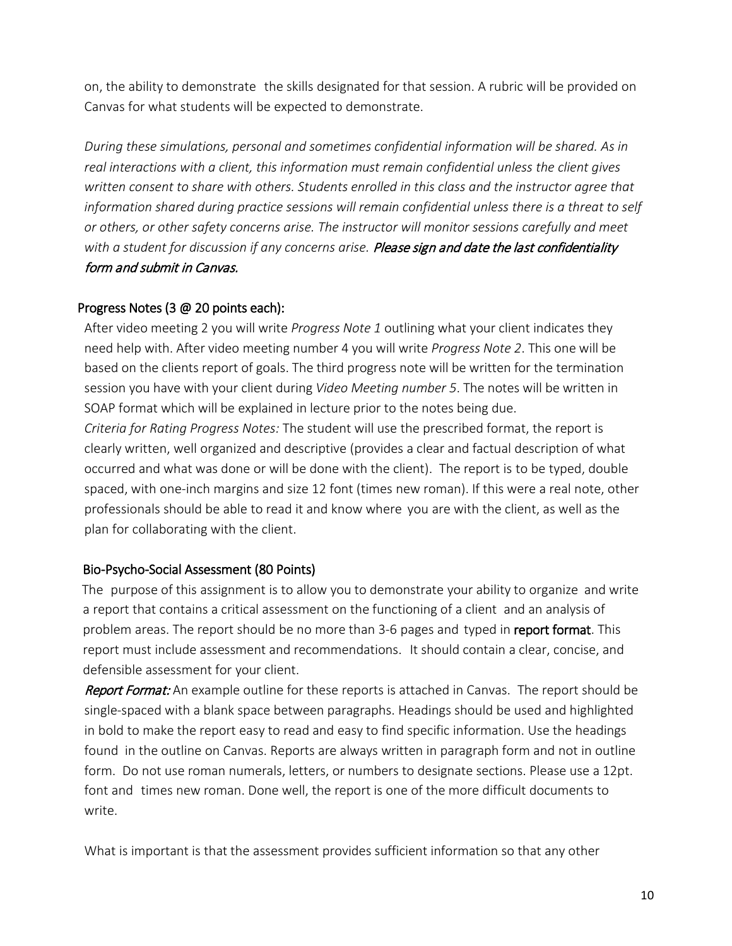on, the ability to demonstrate the skills designated for that session. A rubric will be provided on Canvas for what students will be expected to demonstrate.

*During these simulations, personal and sometimes confidential information will be shared. As in real interactions with a client, this information must remain confidential unless the client gives written consent to share with others. Students enrolled in this class and the instructor agree that information shared during practice sessions will remain confidential unless there is a threat to self or others, or other safety concerns arise. The instructor will monitor sessions carefully and meet with a student for discussion if any concerns arise.* Please sign and date the last confidentiality form and submit in Canvas.

### Progress Notes (3 @ 20 points each):

After video meeting 2 you will write *Progress Note 1* outlining what your client indicates they need help with. After video meeting number 4 you will write *Progress Note 2*. This one will be based on the clients report of goals. The third progress note will be written for the termination session you have with your client during *Video Meeting number 5*. The notes will be written in SOAP format which will be explained in lecture prior to the notes being due.

*Criteria for Rating Progress Notes:* The student will use the prescribed format, the report is clearly written, well organized and descriptive (provides a clear and factual description of what occurred and what was done or will be done with the client). The report is to be typed, double spaced, with one-inch margins and size 12 font (times new roman). If this were a real note, other professionals should be able to read it and know where you are with the client, as well as the plan for collaborating with the client.

### Bio-Psycho-Social Assessment (80 Points)

The purpose of this assignment is to allow you to demonstrate your ability to organize and write a report that contains a critical assessment on the functioning of a client and an analysis of problem areas. The report should be no more than 3-6 pages and typed in report format. This report must include assessment and recommendations. It should contain a clear, concise, and defensible assessment for your client.

Report Format: An example outline for these reports is attached in Canvas. The report should be single-spaced with a blank space between paragraphs. Headings should be used and highlighted in bold to make the report easy to read and easy to find specific information. Use the headings found in the outline on Canvas. Reports are always written in paragraph form and not in outline form. Do not use roman numerals, letters, or numbers to designate sections. Please use a 12pt. font and times new roman. Done well, the report is one of the more difficult documents to write.

What is important is that the assessment provides sufficient information so that any other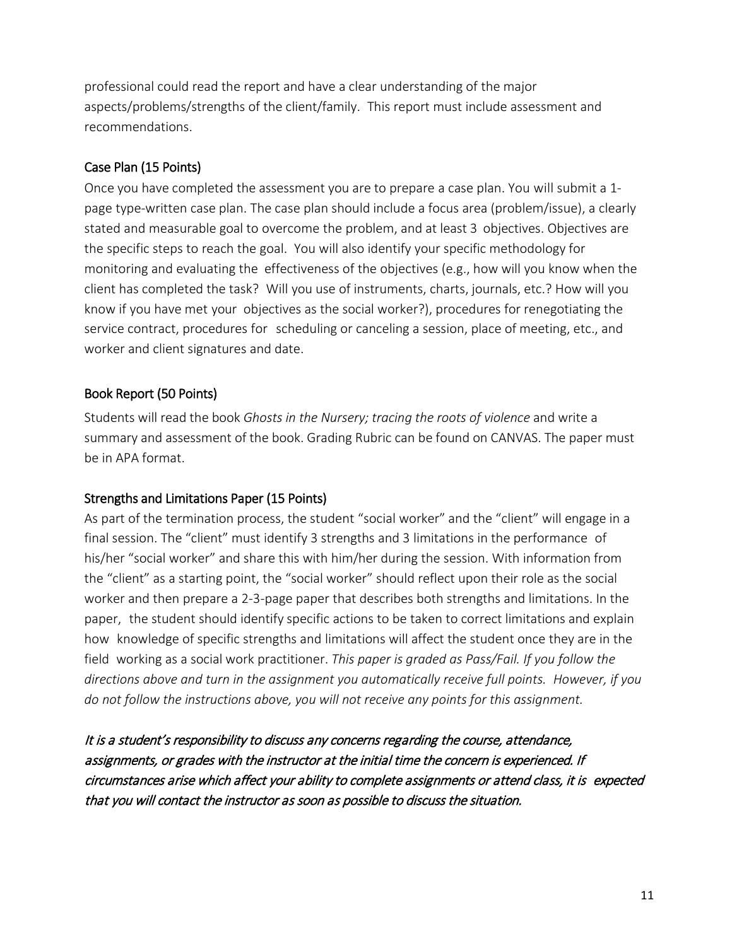professional could read the report and have a clear understanding of the major aspects/problems/strengths of the client/family. This report must include assessment and recommendations.

## Case Plan (15 Points)

Once you have completed the assessment you are to prepare a case plan. You will submit a 1 page type-written case plan. The case plan should include a focus area (problem/issue), a clearly stated and measurable goal to overcome the problem, and at least 3 objectives. Objectives are the specific steps to reach the goal. You will also identify your specific methodology for monitoring and evaluating the effectiveness of the objectives (e.g., how will you know when the client has completed the task? Will you use of instruments, charts, journals, etc.? How will you know if you have met your objectives as the social worker?), procedures for renegotiating the service contract, procedures for scheduling or canceling a session, place of meeting, etc., and worker and client signatures and date.

# Book Report (50 Points)

Students will read the book *Ghosts in the Nursery; tracing the roots of violence* and write a summary and assessment of the book. Grading Rubric can be found on CANVAS. The paper must be in APA format.

# Strengths and Limitations Paper (15 Points)

As part of the termination process, the student "social worker" and the "client" will engage in a final session. The "client" must identify 3 strengths and 3 limitations in the performance of his/her "social worker" and share this with him/her during the session. With information from the "client" as a starting point, the "social worker" should reflect upon their role as the social worker and then prepare a 2-3-page paper that describes both strengths and limitations. In the paper, the student should identify specific actions to be taken to correct limitations and explain how knowledge of specific strengths and limitations will affect the student once they are in the field working as a social work practitioner. *This paper is graded as Pass/Fail. If you follow the directions above and turn in the assignment you automatically receive full points. However, if you do not follow the instructions above, you will not receive any points for this assignment.*

It is a student's responsibility to discuss any concerns regarding the course, attendance, assignments, or grades with the instructor at the initial time the concern is experienced. If circumstances arise which affect your ability to complete assignments or attend class, it is expected that you will contact the instructor as soon as possible to discuss the situation.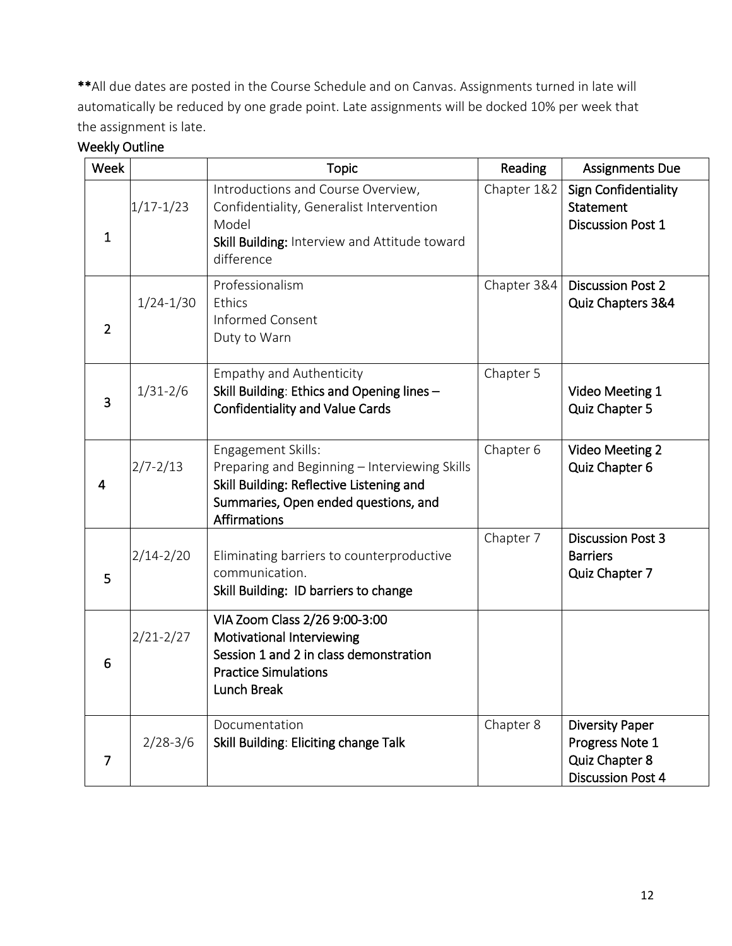\*\*All due dates are posted in the Course Schedule and on Canvas. Assignments turned in late will automatically be reduced by one grade point. Late assignments will be docked 10% per week that the assignment is late.

| Week           |               | <b>Topic</b>                                                                                                                                                                   | Reading     | <b>Assignments Due</b>                                                                  |
|----------------|---------------|--------------------------------------------------------------------------------------------------------------------------------------------------------------------------------|-------------|-----------------------------------------------------------------------------------------|
| $\mathbf{1}$   | $1/17 - 1/23$ | Introductions and Course Overview,<br>Confidentiality, Generalist Intervention<br>Model<br>Skill Building: Interview and Attitude toward<br>difference                         | Chapter 1&2 | Sign Confidentiality<br>Statement<br><b>Discussion Post 1</b>                           |
| $\overline{2}$ | $1/24 - 1/30$ | Professionalism<br>Ethics<br><b>Informed Consent</b><br>Duty to Warn                                                                                                           | Chapter 3&4 | <b>Discussion Post 2</b><br>Quiz Chapters 3&4                                           |
| 3              | $1/31 - 2/6$  | <b>Empathy and Authenticity</b><br>Skill Building: Ethics and Opening lines -<br><b>Confidentiality and Value Cards</b>                                                        | Chapter 5   | Video Meeting 1<br>Quiz Chapter 5                                                       |
| 4              | $2/7 - 2/13$  | Engagement Skills:<br>Preparing and Beginning - Interviewing Skills<br>Skill Building: Reflective Listening and<br>Summaries, Open ended questions, and<br><b>Affirmations</b> | Chapter 6   | <b>Video Meeting 2</b><br>Quiz Chapter 6                                                |
| 5              | $2/14 - 2/20$ | Eliminating barriers to counterproductive<br>communication.<br>Skill Building: ID barriers to change                                                                           | Chapter 7   | <b>Discussion Post 3</b><br><b>Barriers</b><br>Quiz Chapter 7                           |
| 6              | $2/21 - 2/27$ | VIA Zoom Class 2/26 9:00-3:00<br>Motivational Interviewing<br>Session 1 and 2 in class demonstration<br><b>Practice Simulations</b><br>Lunch Break                             |             |                                                                                         |
| $\overline{7}$ | $2/28 - 3/6$  | Documentation<br>Skill Building: Eliciting change Talk                                                                                                                         | Chapter 8   | <b>Diversity Paper</b><br>Progress Note 1<br>Quiz Chapter 8<br><b>Discussion Post 4</b> |

# Weekly Outline